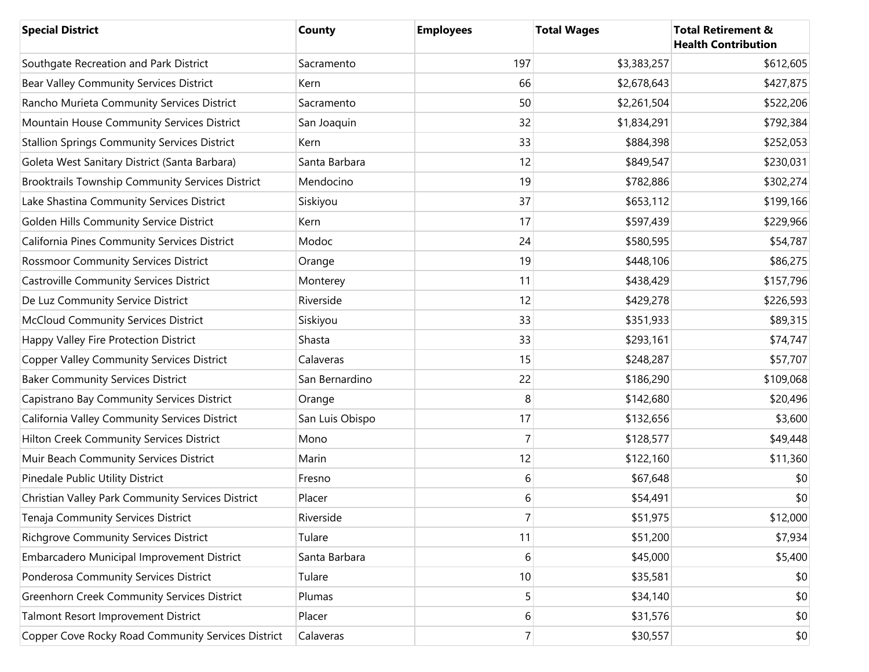| <b>Special District</b>                             | County          | <b>Employees</b> | <b>Total Wages</b> | <b>Total Retirement &amp;</b><br><b>Health Contribution</b> |
|-----------------------------------------------------|-----------------|------------------|--------------------|-------------------------------------------------------------|
| Southgate Recreation and Park District              | Sacramento      | 197              | \$3,383,257        | \$612,605                                                   |
| Bear Valley Community Services District             | Kern            | 66               | \$2,678,643        | \$427,875                                                   |
| Rancho Murieta Community Services District          | Sacramento      | 50               | \$2,261,504        | \$522,206                                                   |
| Mountain House Community Services District          | San Joaquin     | 32               | \$1,834,291        | \$792,384                                                   |
| <b>Stallion Springs Community Services District</b> | Kern            | 33               | \$884,398          | \$252,053                                                   |
| Goleta West Sanitary District (Santa Barbara)       | Santa Barbara   | 12               | \$849,547          | \$230,031                                                   |
| Brooktrails Township Community Services District    | Mendocino       | 19               | \$782,886          | \$302,274                                                   |
| Lake Shastina Community Services District           | Siskiyou        | 37               | \$653,112          | \$199,166                                                   |
| Golden Hills Community Service District             | Kern            | 17               | \$597,439          | \$229,966                                                   |
| California Pines Community Services District        | Modoc           | 24               | \$580,595          | \$54,787                                                    |
| <b>Rossmoor Community Services District</b>         | Orange          | 19               | \$448,106          | \$86,275                                                    |
| <b>Castroville Community Services District</b>      | Monterey        | 11               | \$438,429          | \$157,796                                                   |
| De Luz Community Service District                   | Riverside       | 12               | \$429,278          | \$226,593                                                   |
| <b>McCloud Community Services District</b>          | Siskiyou        | 33               | \$351,933          | \$89,315                                                    |
| Happy Valley Fire Protection District               | Shasta          | 33               | \$293,161          | \$74,747                                                    |
| <b>Copper Valley Community Services District</b>    | Calaveras       | 15               | \$248,287          | \$57,707                                                    |
| <b>Baker Community Services District</b>            | San Bernardino  | 22               | \$186,290          | \$109,068                                                   |
| Capistrano Bay Community Services District          | Orange          | 8                | \$142,680          | \$20,496                                                    |
| California Valley Community Services District       | San Luis Obispo | 17               | \$132,656          | \$3,600                                                     |
| Hilton Creek Community Services District            | Mono            | $\overline{7}$   | \$128,577          | \$49,448                                                    |
| Muir Beach Community Services District              | Marin           | 12               | \$122,160          | \$11,360                                                    |
| Pinedale Public Utility District                    | Fresno          | 6                | \$67,648           | \$0                                                         |
| Christian Valley Park Community Services District   | Placer          | 6                | \$54,491           | \$0                                                         |
| Tenaja Community Services District                  | Riverside       | 7                | \$51,975           | \$12,000                                                    |
| <b>Richgrove Community Services District</b>        | Tulare          | 11               | \$51,200           | \$7,934                                                     |
| Embarcadero Municipal Improvement District          | Santa Barbara   | 6                | \$45,000           | \$5,400                                                     |
| Ponderosa Community Services District               | Tulare          | 10               | \$35,581           | \$0                                                         |
| <b>Greenhorn Creek Community Services District</b>  | Plumas          | 5                | \$34,140           | \$0                                                         |
| Talmont Resort Improvement District                 | Placer          | $6 \overline{6}$ | \$31,576           | \$0                                                         |
| Copper Cove Rocky Road Community Services District  | Calaveras       | $\overline{7}$   | \$30,557           | \$0                                                         |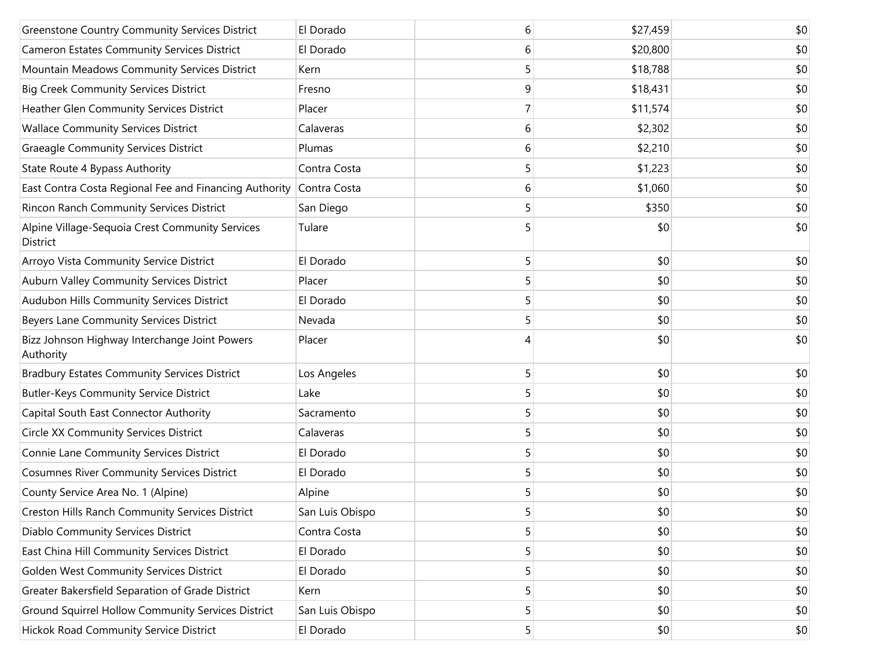| <b>Greenstone Country Community Services District</b>       | El Dorado       | 6 | \$27,459 | \$0 |
|-------------------------------------------------------------|-----------------|---|----------|-----|
| <b>Cameron Estates Community Services District</b>          | El Dorado       | 6 | \$20,800 | \$0 |
| Mountain Meadows Community Services District                | Kern            | 5 | \$18,788 | \$0 |
| <b>Big Creek Community Services District</b>                | Fresno          | 9 | \$18,431 | \$0 |
| Heather Glen Community Services District                    | Placer          |   | \$11,574 | \$0 |
| <b>Wallace Community Services District</b>                  | Calaveras       | 6 | \$2,302  | \$0 |
| <b>Graeagle Community Services District</b>                 | Plumas          | 6 | \$2,210  | \$0 |
| State Route 4 Bypass Authority                              | Contra Costa    | 5 | \$1,223  | \$0 |
| East Contra Costa Regional Fee and Financing Authority      | Contra Costa    | 6 | \$1,060  | \$0 |
| Rincon Ranch Community Services District                    | San Diego       | 5 | \$350    | \$0 |
| Alpine Village-Sequoia Crest Community Services<br>District | Tulare          |   | \$0      | \$0 |
| Arroyo Vista Community Service District                     | El Dorado       | 5 | \$0      | \$0 |
| Auburn Valley Community Services District                   | Placer          | 5 | \$0      | \$0 |
| Audubon Hills Community Services District                   | El Dorado       | 5 | \$0      | \$0 |
| Beyers Lane Community Services District                     | Nevada          | 5 | \$0      | \$0 |
| Bizz Johnson Highway Interchange Joint Powers<br>Authority  | Placer          | 4 | \$0      | \$0 |
| <b>Bradbury Estates Community Services District</b>         | Los Angeles     | 5 | \$0      | \$0 |
| <b>Butler-Keys Community Service District</b>               | Lake            | 5 | \$0      | \$0 |
| Capital South East Connector Authority                      | Sacramento      | 5 | \$0      | \$0 |
| Circle XX Community Services District                       | Calaveras       | 5 | \$0      | \$0 |
| Connie Lane Community Services District                     | El Dorado       | 5 | \$0      | \$0 |
| <b>Cosumnes River Community Services District</b>           | El Dorado       | 5 | \$0      | \$0 |
| County Service Area No. 1 (Alpine)                          | Alpine          | 5 | \$0      | \$0 |
| Creston Hills Ranch Community Services District             | San Luis Obispo | 5 | \$0      | \$0 |
| Diablo Community Services District                          | Contra Costa    | 5 | \$0      | \$0 |
| East China Hill Community Services District                 | El Dorado       | 5 | \$0      | \$0 |
| Golden West Community Services District                     | El Dorado       | 5 | \$0      | \$0 |
| Greater Bakersfield Separation of Grade District            | Kern            | 5 | \$0      | \$0 |
| Ground Squirrel Hollow Community Services District          | San Luis Obispo | 5 | \$0      | \$0 |
| Hickok Road Community Service District                      | El Dorado       | 5 | \$0      | \$0 |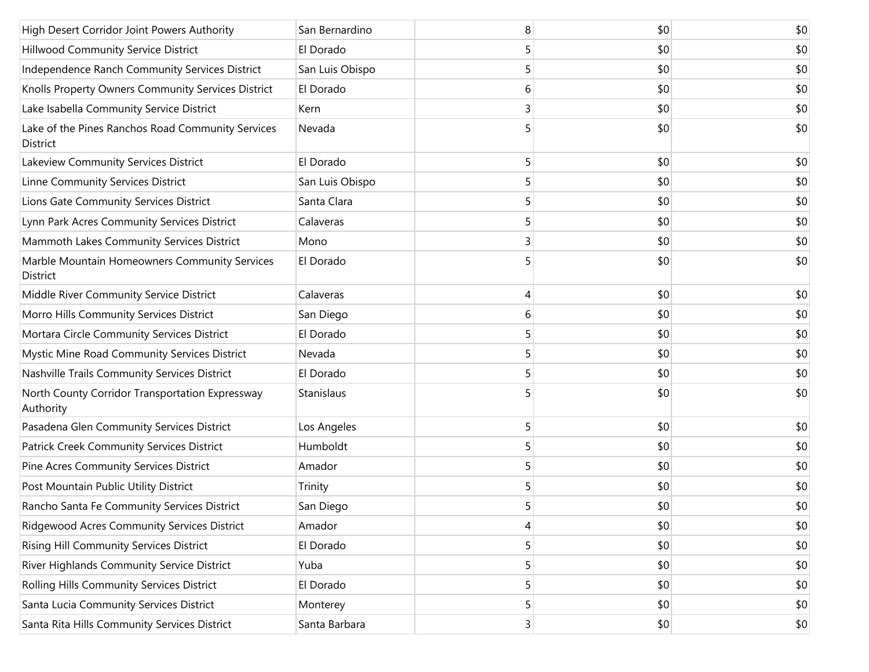| High Desert Corridor Joint Powers Authority                      | San Bernardino  | 8 | \$0 | \$0 |
|------------------------------------------------------------------|-----------------|---|-----|-----|
| Hillwood Community Service District                              | El Dorado       | 5 | \$0 | \$0 |
| Independence Ranch Community Services District                   | San Luis Obispo | 5 | \$0 | \$0 |
| Knolls Property Owners Community Services District               | El Dorado       | 6 | \$0 | \$0 |
| Lake Isabella Community Service District                         | Kern            | 3 | \$0 | \$0 |
| Lake of the Pines Ranchos Road Community Services<br>District    | Nevada          | 5 | \$0 | \$0 |
| Lakeview Community Services District                             | El Dorado       | 5 | \$0 | \$0 |
| Linne Community Services District                                | San Luis Obispo | 5 | \$0 | \$0 |
| Lions Gate Community Services District                           | Santa Clara     | 5 | \$0 | \$0 |
| Lynn Park Acres Community Services District                      | Calaveras       | 5 | \$0 | \$0 |
| Mammoth Lakes Community Services District                        | Mono            | 3 | \$0 | \$0 |
| Marble Mountain Homeowners Community Services<br><b>District</b> | El Dorado       | 5 | \$0 | \$0 |
| Middle River Community Service District                          | Calaveras       | 4 | \$0 | \$0 |
| Morro Hills Community Services District                          | San Diego       | 6 | \$0 | \$0 |
| Mortara Circle Community Services District                       | El Dorado       | 5 | \$0 | \$0 |
| Mystic Mine Road Community Services District                     | Nevada          | 5 | \$0 | \$0 |
| Nashville Trails Community Services District                     | El Dorado       | 5 | \$0 | \$0 |
| North County Corridor Transportation Expressway<br>Authority     | Stanislaus      | 5 | \$0 | \$0 |
| Pasadena Glen Community Services District                        | Los Angeles     | 5 | \$0 | \$0 |
| <b>Patrick Creek Community Services District</b>                 | Humboldt        | 5 | \$0 | \$0 |
| Pine Acres Community Services District                           | Amador          | 5 | \$0 | \$0 |
| Post Mountain Public Utility District                            | Trinity         | 5 | \$0 | \$0 |
| Rancho Santa Fe Community Services District                      | San Diego       | 5 | \$0 | \$0 |
| Ridgewood Acres Community Services District                      | Amador          | 4 | \$0 | \$0 |
| Rising Hill Community Services District                          | El Dorado       | 5 | \$0 | \$0 |
| River Highlands Community Service District                       | Yuba            | 5 | \$0 | \$0 |
| Rolling Hills Community Services District                        | El Dorado       | 5 | \$0 | \$0 |
| Santa Lucia Community Services District                          | Monterey        | 5 | \$0 | \$0 |
| Santa Rita Hills Community Services District                     | Santa Barbara   | 3 | \$0 | \$0 |